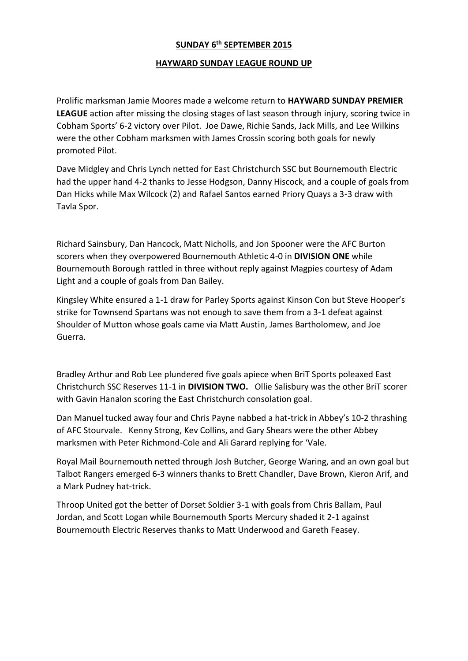## **SUNDAY 6th SEPTEMBER 2015**

## **HAYWARD SUNDAY LEAGUE ROUND UP**

Prolific marksman Jamie Moores made a welcome return to **HAYWARD SUNDAY PREMIER LEAGUE** action after missing the closing stages of last season through injury, scoring twice in Cobham Sports' 6-2 victory over Pilot. Joe Dawe, Richie Sands, Jack Mills, and Lee Wilkins were the other Cobham marksmen with James Crossin scoring both goals for newly promoted Pilot.

Dave Midgley and Chris Lynch netted for East Christchurch SSC but Bournemouth Electric had the upper hand 4-2 thanks to Jesse Hodgson, Danny Hiscock, and a couple of goals from Dan Hicks while Max Wilcock (2) and Rafael Santos earned Priory Quays a 3-3 draw with Tavla Spor.

Richard Sainsbury, Dan Hancock, Matt Nicholls, and Jon Spooner were the AFC Burton scorers when they overpowered Bournemouth Athletic 4-0 in **DIVISION ONE** while Bournemouth Borough rattled in three without reply against Magpies courtesy of Adam Light and a couple of goals from Dan Bailey.

Kingsley White ensured a 1-1 draw for Parley Sports against Kinson Con but Steve Hooper's strike for Townsend Spartans was not enough to save them from a 3-1 defeat against Shoulder of Mutton whose goals came via Matt Austin, James Bartholomew, and Joe Guerra.

Bradley Arthur and Rob Lee plundered five goals apiece when BriT Sports poleaxed East Christchurch SSC Reserves 11-1 in **DIVISION TWO.** Ollie Salisbury was the other BriT scorer with Gavin Hanalon scoring the East Christchurch consolation goal.

Dan Manuel tucked away four and Chris Payne nabbed a hat-trick in Abbey's 10-2 thrashing of AFC Stourvale. Kenny Strong, Kev Collins, and Gary Shears were the other Abbey marksmen with Peter Richmond-Cole and Ali Garard replying for 'Vale.

Royal Mail Bournemouth netted through Josh Butcher, George Waring, and an own goal but Talbot Rangers emerged 6-3 winners thanks to Brett Chandler, Dave Brown, Kieron Arif, and a Mark Pudney hat-trick.

Throop United got the better of Dorset Soldier 3-1 with goals from Chris Ballam, Paul Jordan, and Scott Logan while Bournemouth Sports Mercury shaded it 2-1 against Bournemouth Electric Reserves thanks to Matt Underwood and Gareth Feasey.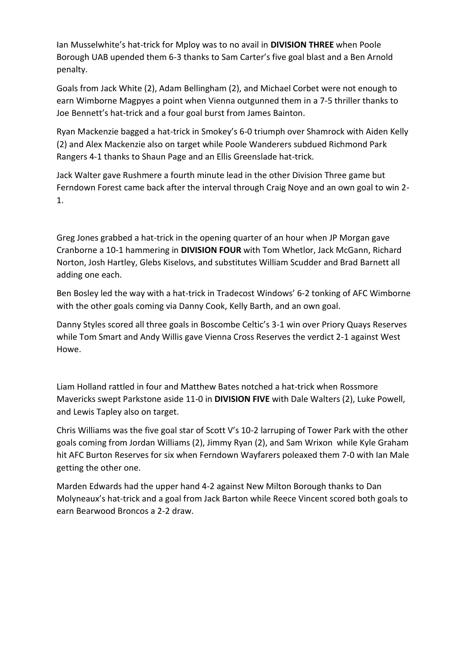Ian Musselwhite's hat-trick for Mploy was to no avail in **DIVISION THREE** when Poole Borough UAB upended them 6-3 thanks to Sam Carter's five goal blast and a Ben Arnold penalty.

Goals from Jack White (2), Adam Bellingham (2), and Michael Corbet were not enough to earn Wimborne Magpyes a point when Vienna outgunned them in a 7-5 thriller thanks to Joe Bennett's hat-trick and a four goal burst from James Bainton.

Ryan Mackenzie bagged a hat-trick in Smokey's 6-0 triumph over Shamrock with Aiden Kelly (2) and Alex Mackenzie also on target while Poole Wanderers subdued Richmond Park Rangers 4-1 thanks to Shaun Page and an Ellis Greenslade hat-trick.

Jack Walter gave Rushmere a fourth minute lead in the other Division Three game but Ferndown Forest came back after the interval through Craig Noye and an own goal to win 2- 1.

Greg Jones grabbed a hat-trick in the opening quarter of an hour when JP Morgan gave Cranborne a 10-1 hammering in **DIVISION FOUR** with Tom Whetlor, Jack McGann, Richard Norton, Josh Hartley, Glebs Kiselovs, and substitutes William Scudder and Brad Barnett all adding one each.

Ben Bosley led the way with a hat-trick in Tradecost Windows' 6-2 tonking of AFC Wimborne with the other goals coming via Danny Cook, Kelly Barth, and an own goal.

Danny Styles scored all three goals in Boscombe Celtic's 3-1 win over Priory Quays Reserves while Tom Smart and Andy Willis gave Vienna Cross Reserves the verdict 2-1 against West Howe.

Liam Holland rattled in four and Matthew Bates notched a hat-trick when Rossmore Mavericks swept Parkstone aside 11-0 in **DIVISION FIVE** with Dale Walters (2), Luke Powell, and Lewis Tapley also on target.

Chris Williams was the five goal star of Scott V's 10-2 larruping of Tower Park with the other goals coming from Jordan Williams (2), Jimmy Ryan (2), and Sam Wrixon while Kyle Graham hit AFC Burton Reserves for six when Ferndown Wayfarers poleaxed them 7-0 with Ian Male getting the other one.

Marden Edwards had the upper hand 4-2 against New Milton Borough thanks to Dan Molyneaux's hat-trick and a goal from Jack Barton while Reece Vincent scored both goals to earn Bearwood Broncos a 2-2 draw.